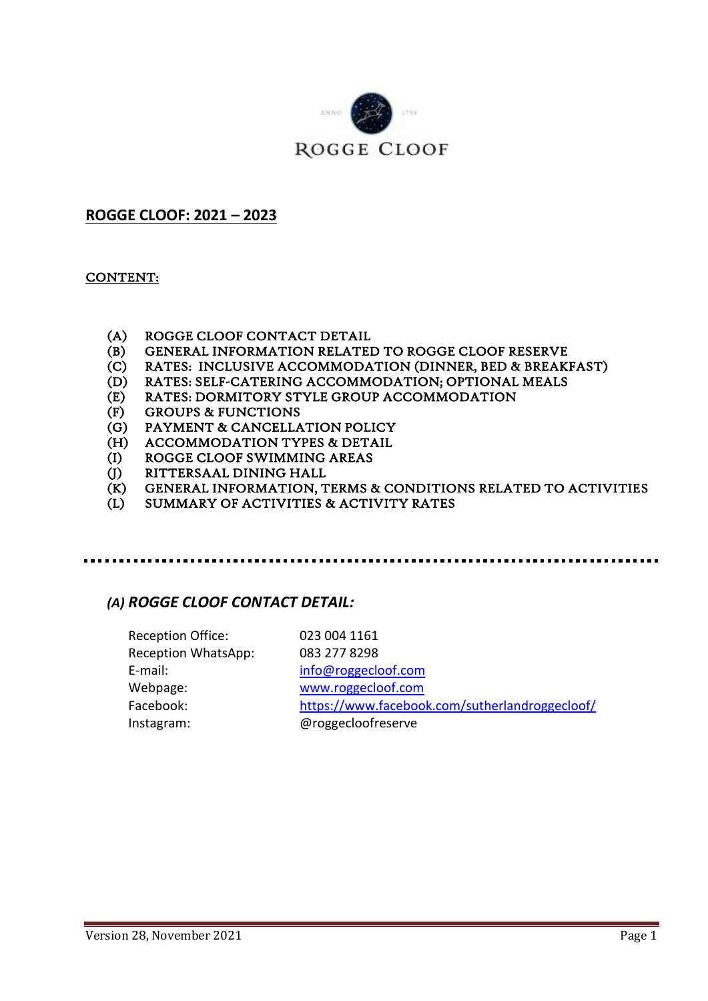

## **ROGGE CLOOF: 2021 – 2023**

#### CONTENT:

- (A) ROGGE CLOOF CONTACT DETAIL
- (B) GENERAL INFORMATION RELATED TO ROGGE CLOOF RESERVE
- (C) RATES: INCLUSIVE ACCOMMODATION (DINNER, BED & BREAKFAST)
- (D) RATES: SELF-CATERING ACCOMMODATION; OPTIONAL MEALS
- (E) RATES: DORMITORY STYLE GROUP ACCOMMODATION
- (F) GROUPS & FUNCTIONS
- (G) PAYMENT & CANCELLATION POLICY
- (H) ACCOMMODATION TYPES & DETAIL
- (I) ROGGE CLOOF SWIMMING AREAS
- (J) RITTERSAAL DINING HALL
- (K) GENERAL INFORMATION, TERMS & CONDITIONS RELATED TO ACTIVITIES
- SUMMARY OF ACTIVITIES & ACTIVITY RATES

### *(A) ROGGE CLOOF CONTACT DETAIL:*

| <b>Reception Office:</b> | 023 004 1161                                   |
|--------------------------|------------------------------------------------|
| Reception WhatsApp:      | 083 277 8298                                   |
| E-mail:                  | info@roggecloof.com                            |
| Webpage:                 | www.roggecloof.com                             |
| Facebook:                | https://www.facebook.com/sutherlandroggecloof/ |
| Instagram:               | @roggecloofreserve                             |
|                          |                                                |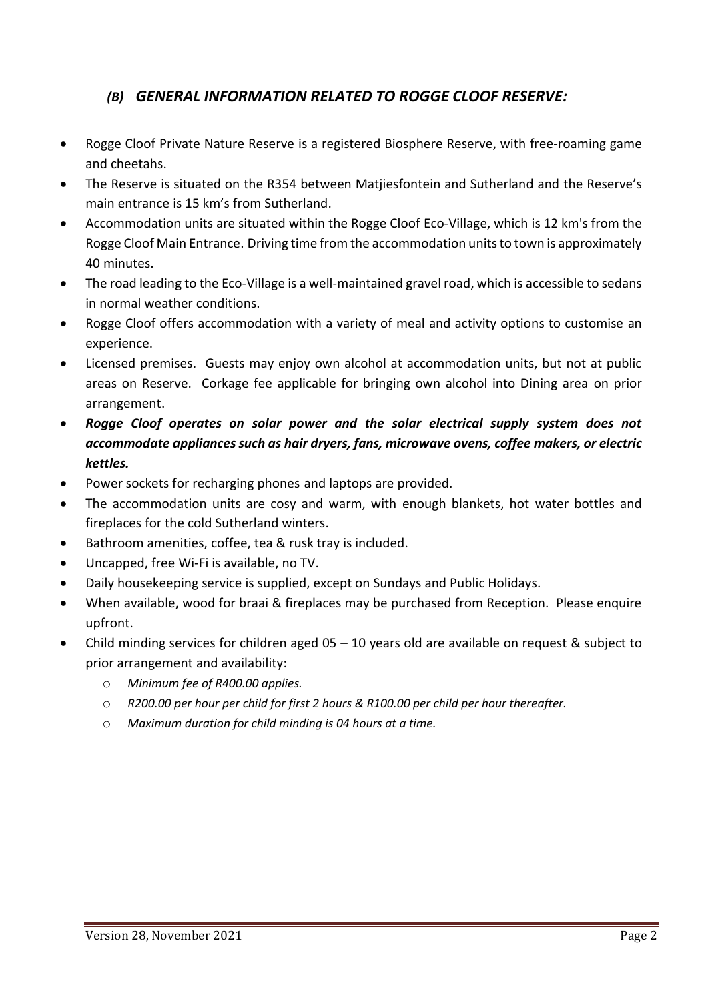## *(B) GENERAL INFORMATION RELATED TO ROGGE CLOOF RESERVE:*

- Rogge Cloof Private Nature Reserve is a registered Biosphere Reserve, with free-roaming game and cheetahs.
- The Reserve is situated on the R354 between Matjiesfontein and Sutherland and the Reserve's main entrance is 15 km's from Sutherland.
- Accommodation units are situated within the Rogge Cloof Eco-Village, which is 12 km's from the Rogge Cloof Main Entrance. Driving time from the accommodation units to town is approximately 40 minutes.
- The road leading to the Eco-Village is a well-maintained gravel road, which is accessible to sedans in normal weather conditions.
- Rogge Cloof offers accommodation with a variety of meal and activity options to customise an experience.
- Licensed premises. Guests may enjoy own alcohol at accommodation units, but not at public areas on Reserve. Corkage fee applicable for bringing own alcohol into Dining area on prior arrangement.
- *Rogge Cloof operates on solar power and the solar electrical supply system does not accommodate appliances such as hair dryers, fans, microwave ovens, coffee makers, or electric kettles.*
- Power sockets for recharging phones and laptops are provided.
- The accommodation units are cosy and warm, with enough blankets, hot water bottles and fireplaces for the cold Sutherland winters.
- Bathroom amenities, coffee, tea & rusk tray is included.
- Uncapped, free Wi-Fi is available, no TV.
- Daily housekeeping service is supplied, except on Sundays and Public Holidays.
- When available, wood for braai & fireplaces may be purchased from Reception. Please enquire upfront.
- Child minding services for children aged  $05 10$  years old are available on request & subject to prior arrangement and availability:
	- o *Minimum fee of R400.00 applies.*
	- o *R200.00 per hour per child for first 2 hours & R100.00 per child per hour thereafter.*
	- o *Maximum duration for child minding is 04 hours at a time.*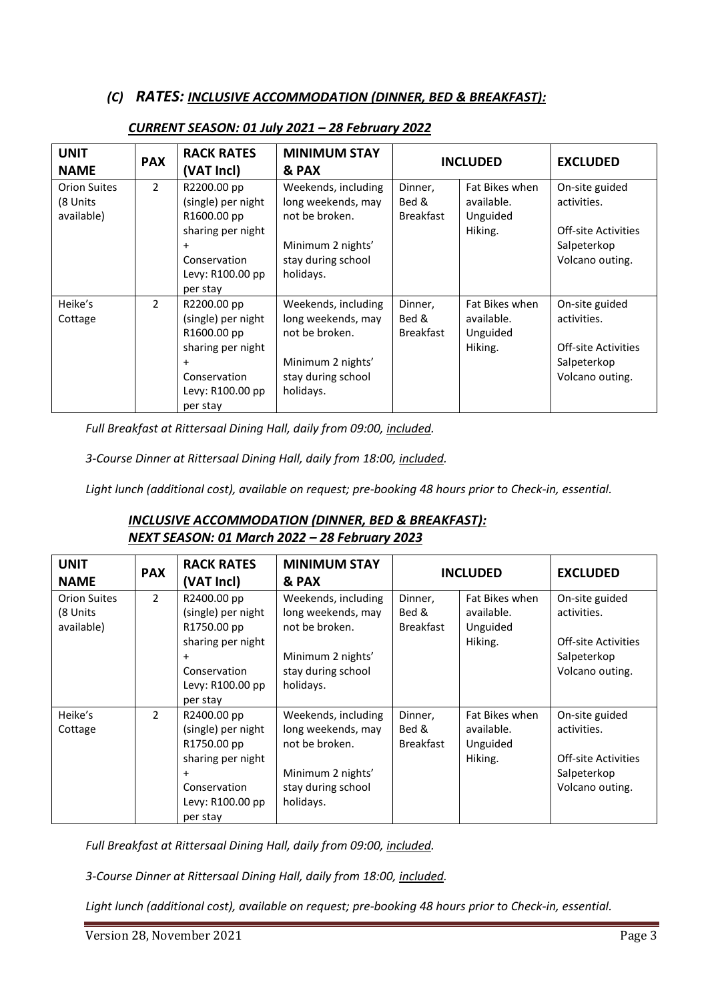### *(C) RATES: INCLUSIVE ACCOMMODATION (DINNER, BED & BREAKFAST):*

| <b>UNIT</b><br><b>NAME</b>                    | <b>PAX</b>    | <b>RACK RATES</b><br>(VAT Incl)                                                                                                    | <b>MINIMUM STAY</b><br>& PAX                                                                                        | <b>INCLUDED</b>                      |                                                     | <b>EXCLUDED</b>                                                                               |
|-----------------------------------------------|---------------|------------------------------------------------------------------------------------------------------------------------------------|---------------------------------------------------------------------------------------------------------------------|--------------------------------------|-----------------------------------------------------|-----------------------------------------------------------------------------------------------|
| <b>Orion Suites</b><br>(8 Units<br>available) | $\mathcal{L}$ | R2200.00 pp<br>(single) per night<br>R1600.00 pp<br>sharing per night<br>$\ddot{}$<br>Conservation<br>Levy: R100.00 pp<br>per stay | Weekends, including<br>long weekends, may<br>not be broken.<br>Minimum 2 nights'<br>stay during school<br>holidays. | Dinner,<br>Bed &<br><b>Breakfast</b> | Fat Bikes when<br>available.<br>Unguided<br>Hiking. | On-site guided<br>activities.<br><b>Off-site Activities</b><br>Salpeterkop<br>Volcano outing. |
| Heike's<br>Cottage                            | $\mathcal{P}$ | R2200.00 pp<br>(single) per night<br>R1600.00 pp<br>sharing per night<br>Conservation<br>Levy: R100.00 pp<br>per stay              | Weekends, including<br>long weekends, may<br>not be broken.<br>Minimum 2 nights'<br>stay during school<br>holidays. | Dinner,<br>Bed &<br><b>Breakfast</b> | Fat Bikes when<br>available.<br>Unguided<br>Hiking. | On-site guided<br>activities.<br><b>Off-site Activities</b><br>Salpeterkop<br>Volcano outing. |

## *CURRENT SEASON: 01 July 2021 – 28 February 2022*

*Full Breakfast at Rittersaal Dining Hall, daily from 09:00, included.*

*3-Course Dinner at Rittersaal Dining Hall, daily from 18:00, included.*

*Light lunch (additional cost), available on request; pre-booking 48 hours prior to Check-in, essential.*

### *INCLUSIVE ACCOMMODATION (DINNER, BED & BREAKFAST): NEXT SEASON: 01 March 2022 – 28 February 2023*

| <b>UNIT</b><br><b>NAME</b>                    | <b>PAX</b>    | <b>RACK RATES</b><br>(VAT Incl)                                                                                                    | <b>MINIMUM STAY</b><br>& PAX                                                                                        | <b>INCLUDED</b>                      |                                                     | <b>EXCLUDED</b>                                                                               |
|-----------------------------------------------|---------------|------------------------------------------------------------------------------------------------------------------------------------|---------------------------------------------------------------------------------------------------------------------|--------------------------------------|-----------------------------------------------------|-----------------------------------------------------------------------------------------------|
| <b>Orion Suites</b><br>(8 Units<br>available) | $\mathcal{L}$ | R2400.00 pp<br>(single) per night<br>R1750.00 pp<br>sharing per night<br>$\ddot{}$<br>Conservation<br>Levy: R100.00 pp<br>per stay | Weekends, including<br>long weekends, may<br>not be broken.<br>Minimum 2 nights'<br>stay during school<br>holidays. | Dinner,<br>Bed &<br><b>Breakfast</b> | Fat Bikes when<br>available.<br>Unguided<br>Hiking. | On-site guided<br>activities.<br><b>Off-site Activities</b><br>Salpeterkop<br>Volcano outing. |
| Heike's<br>Cottage                            | $\mathcal{P}$ | R2400.00 pp<br>(single) per night<br>R1750.00 pp<br>sharing per night<br>$\ddot{}$<br>Conservation<br>Levy: R100.00 pp<br>per stay | Weekends, including<br>long weekends, may<br>not be broken.<br>Minimum 2 nights'<br>stay during school<br>holidays. | Dinner,<br>Bed &<br><b>Breakfast</b> | Fat Bikes when<br>available.<br>Unguided<br>Hiking. | On-site guided<br>activities.<br>Off-site Activities<br>Salpeterkop<br>Volcano outing.        |

*Full Breakfast at Rittersaal Dining Hall, daily from 09:00, included.*

*3-Course Dinner at Rittersaal Dining Hall, daily from 18:00, included.*

*Light lunch (additional cost), available on request; pre-booking 48 hours prior to Check-in, essential.*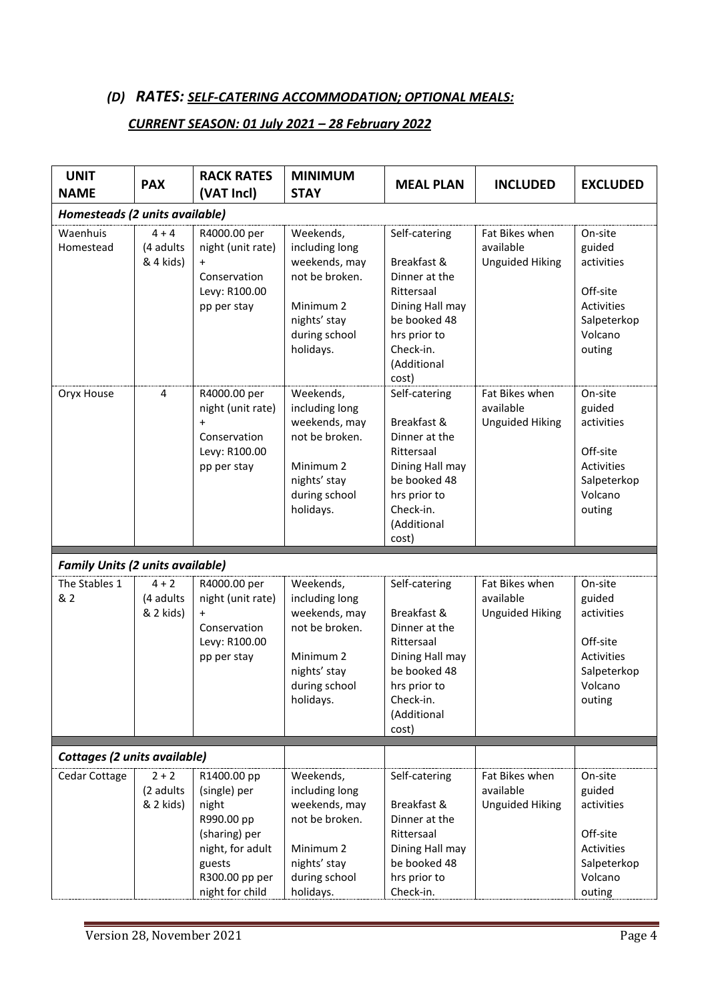# *(D) RATES: SELF-CATERING ACCOMMODATION; OPTIONAL MEALS:*

#### *CURRENT SEASON: 01 July 2021 – 28 February 2022*

| <b>UNIT</b><br><b>NAME</b>              | <b>PAX</b>                        | <b>RACK RATES</b><br>(VAT Incl)                                                                                     | <b>MINIMUM</b><br><b>STAY</b>                                                                                                        | <b>MEAL PLAN</b>                                                                                                                                    | <b>INCLUDED</b>                                       | <b>EXCLUDED</b>                                                                                      |
|-----------------------------------------|-----------------------------------|---------------------------------------------------------------------------------------------------------------------|--------------------------------------------------------------------------------------------------------------------------------------|-----------------------------------------------------------------------------------------------------------------------------------------------------|-------------------------------------------------------|------------------------------------------------------------------------------------------------------|
| Homesteads (2 units available)          |                                   |                                                                                                                     |                                                                                                                                      |                                                                                                                                                     |                                                       |                                                                                                      |
| Waenhuis<br>Homestead                   | $4 + 4$<br>(4 adults<br>& 4 kids) | R4000.00 per<br>night (unit rate)<br>$\ddot{}$<br>Conservation<br>Levy: R100.00<br>pp per stay                      | Weekends,<br>including long<br>weekends, may<br>not be broken.<br>Minimum <sub>2</sub><br>nights' stay<br>during school<br>holidays. | Self-catering<br>Breakfast &<br>Dinner at the<br>Rittersaal<br>Dining Hall may<br>be booked 48<br>hrs prior to<br>Check-in.<br>(Additional<br>cost) | Fat Bikes when<br>available<br><b>Unguided Hiking</b> | On-site<br>guided<br>activities<br>Off-site<br>Activities<br>Salpeterkop<br>Volcano<br>outing        |
| Oryx House                              | 4                                 | R4000.00 per<br>night (unit rate)<br>$\ddot{}$<br>Conservation<br>Levy: R100.00<br>pp per stay                      | Weekends,<br>including long<br>weekends, may<br>not be broken.<br>Minimum 2<br>nights' stay<br>during school<br>holidays.            | Self-catering<br>Breakfast &<br>Dinner at the<br>Rittersaal<br>Dining Hall may<br>be booked 48<br>hrs prior to<br>Check-in.<br>(Additional<br>cost) | Fat Bikes when<br>available<br><b>Unguided Hiking</b> | On-site<br>guided<br>activities<br>Off-site<br>Activities<br>Salpeterkop<br>Volcano<br>outing        |
| <b>Family Units (2 units available)</b> |                                   |                                                                                                                     |                                                                                                                                      |                                                                                                                                                     |                                                       |                                                                                                      |
| The Stables 1<br>& 2                    | $4 + 2$<br>(4 adults<br>& 2 kids) | R4000.00 per<br>night (unit rate)<br>Conservation<br>Levy: R100.00<br>pp per stay                                   | Weekends,<br>including long<br>weekends, may<br>not be broken.<br>Minimum <sub>2</sub><br>nights' stay<br>during school<br>holidays. | Self-catering<br>Breakfast &<br>Dinner at the<br>Rittersaal<br>Dining Hall may<br>be booked 48<br>hrs prior to<br>Check-in.<br>(Additional<br>cost) | Fat Bikes when<br>available<br><b>Unguided Hiking</b> | On-site<br>guided<br>activities<br>Off-site<br><b>Activities</b><br>Salpeterkop<br>Volcano<br>outing |
| Cottages (2 units available)            |                                   |                                                                                                                     |                                                                                                                                      |                                                                                                                                                     |                                                       |                                                                                                      |
| Cedar Cottage                           | $2 + 2$<br>(2 adults<br>& 2 kids) | R1400.00 pp<br>(single) per<br>night<br>R990.00 pp<br>(sharing) per<br>night, for adult<br>guests<br>R300.00 pp per | Weekends,<br>including long<br>weekends, may<br>not be broken.<br>Minimum <sub>2</sub><br>nights' stay<br>during school              | Self-catering<br>Breakfast &<br>Dinner at the<br>Rittersaal<br>Dining Hall may<br>be booked 48<br>hrs prior to                                      | Fat Bikes when<br>available<br><b>Unguided Hiking</b> | On-site<br>guided<br>activities<br>Off-site<br><b>Activities</b><br>Salpeterkop<br>Volcano           |
|                                         |                                   | night for child                                                                                                     | holidays.                                                                                                                            | Check-in.                                                                                                                                           |                                                       | outing                                                                                               |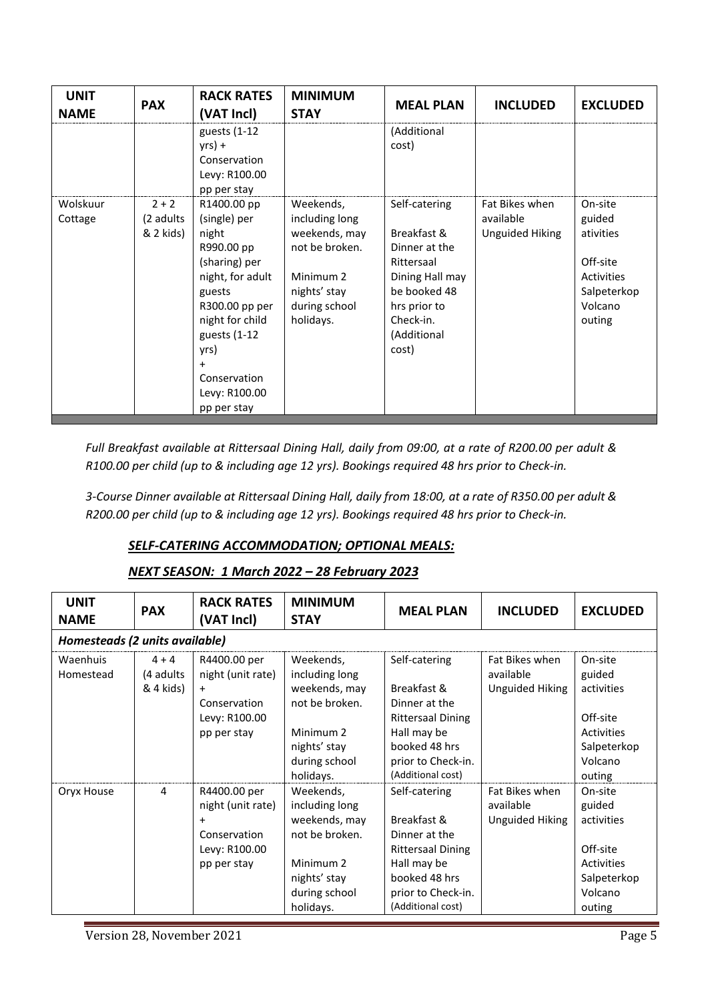| <b>UNIT</b><br><b>NAME</b> | <b>PAX</b>                        | <b>RACK RATES</b><br>(VAT Incl)                                                                                                                                                                                       | <b>MINIMUM</b><br><b>STAY</b>                                                                                                        | <b>MEAL PLAN</b>                                                                                                                                    | <b>INCLUDED</b>                                       | <b>EXCLUDED</b>                                                                              |
|----------------------------|-----------------------------------|-----------------------------------------------------------------------------------------------------------------------------------------------------------------------------------------------------------------------|--------------------------------------------------------------------------------------------------------------------------------------|-----------------------------------------------------------------------------------------------------------------------------------------------------|-------------------------------------------------------|----------------------------------------------------------------------------------------------|
|                            |                                   | guests (1-12<br>$yrs$ ) +<br>Conservation<br>Levy: R100.00<br>pp per stay                                                                                                                                             |                                                                                                                                      | (Additional<br>cost)                                                                                                                                |                                                       |                                                                                              |
| Wolskuur<br>Cottage        | $2 + 2$<br>(2 adults<br>& 2 kids) | R1400.00 pp<br>(single) per<br>night<br>R990.00 pp<br>(sharing) per<br>night, for adult<br>guests<br>R300.00 pp per<br>night for child<br>guests (1-12<br>yrs)<br>$+$<br>Conservation<br>Levy: R100.00<br>pp per stay | Weekends,<br>including long<br>weekends, may<br>not be broken.<br>Minimum <sub>2</sub><br>nights' stay<br>during school<br>holidays. | Self-catering<br>Breakfast &<br>Dinner at the<br>Rittersaal<br>Dining Hall may<br>be booked 48<br>hrs prior to<br>Check-in.<br>(Additional<br>cost) | Fat Bikes when<br>available<br><b>Unguided Hiking</b> | On-site<br>guided<br>ativities<br>Off-site<br>Activities<br>Salpeterkop<br>Volcano<br>outing |

*Full Breakfast available at Rittersaal Dining Hall, daily from 09:00, at a rate of R200.00 per adult & R100.00 per child (up to & including age 12 yrs). Bookings required 48 hrs prior to Check-in.*

*3-Course Dinner available at Rittersaal Dining Hall, daily from 18:00, at a rate of R350.00 per adult & R200.00 per child (up to & including age 12 yrs). Bookings required 48 hrs prior to Check-in.*

## *SELF-CATERING ACCOMMODATION; OPTIONAL MEALS:*

#### *NEXT SEASON: 1 March 2022 – 28 February 2023*

| <b>UNIT</b><br><b>NAME</b>     | <b>PAX</b>                         | <b>RACK RATES</b><br>(VAT Incl)                                                                | <b>MINIMUM</b><br><b>STAY</b>                                                                                             | <b>MEAL PLAN</b>                                                                                                                                     | <b>INCLUDED</b>                                       | <b>EXCLUDED</b>                                                                               |
|--------------------------------|------------------------------------|------------------------------------------------------------------------------------------------|---------------------------------------------------------------------------------------------------------------------------|------------------------------------------------------------------------------------------------------------------------------------------------------|-------------------------------------------------------|-----------------------------------------------------------------------------------------------|
| Homesteads (2 units available) |                                    |                                                                                                |                                                                                                                           |                                                                                                                                                      |                                                       |                                                                                               |
| Waenhuis<br>Homestead          | $4 + 4$<br>(4 adults)<br>& 4 kids) | R4400.00 per<br>night (unit rate)<br>$\ddot{}$<br>Conservation<br>Levy: R100.00<br>pp per stay | Weekends,<br>including long<br>weekends, may<br>not be broken.<br>Minimum 2<br>nights' stay<br>during school<br>holidays. | Self-catering<br>Breakfast &<br>Dinner at the<br><b>Rittersaal Dining</b><br>Hall may be<br>booked 48 hrs<br>prior to Check-in.<br>(Additional cost) | Fat Bikes when<br>available<br><b>Unguided Hiking</b> | On-site<br>guided<br>activities<br>Off-site<br>Activities<br>Salpeterkop<br>Volcano<br>outing |
| Oryx House                     | 4                                  | R4400.00 per<br>night (unit rate)<br>Conservation<br>Levy: R100.00<br>pp per stay              | Weekends,<br>including long<br>weekends, may<br>not be broken.<br>Minimum 2<br>nights' stay<br>during school<br>holidays. | Self-catering<br>Breakfast &<br>Dinner at the<br><b>Rittersaal Dining</b><br>Hall may be<br>booked 48 hrs<br>prior to Check-in.<br>(Additional cost) | Fat Bikes when<br>available<br><b>Unguided Hiking</b> | On-site<br>guided<br>activities<br>Off-site<br>Activities<br>Salpeterkop<br>Volcano<br>outing |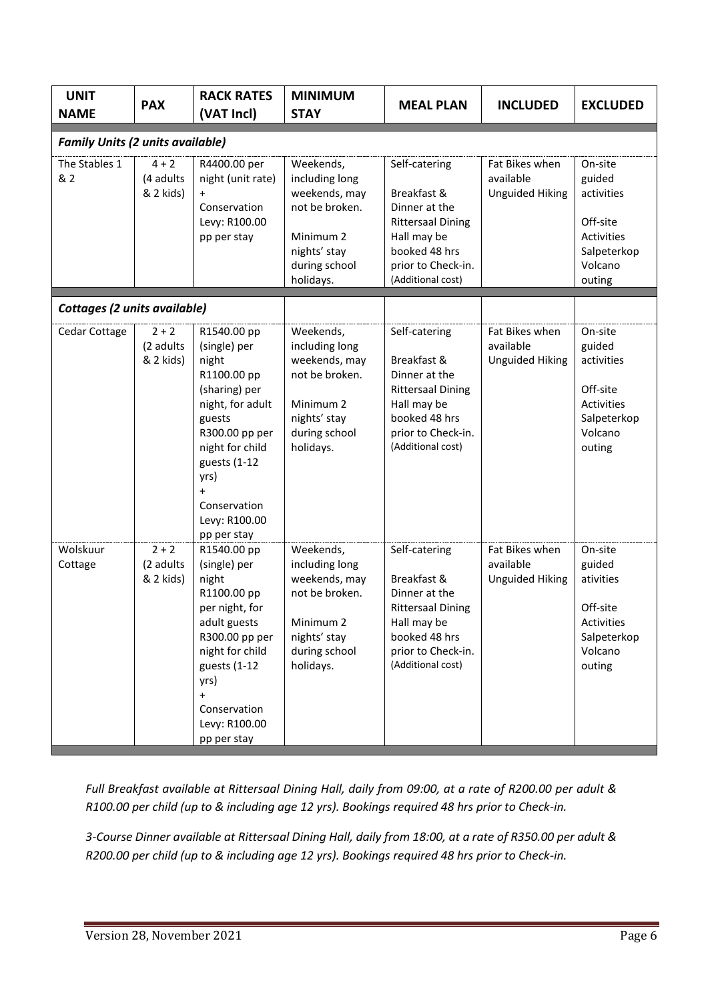| <b>UNIT</b><br><b>NAME</b>              | <b>PAX</b>                        | <b>RACK RATES</b><br>(VAT Incl)                                                                                                                                                                                              | <b>MINIMUM</b><br><b>STAY</b>                                                                                                        | <b>MEAL PLAN</b>                                                                                                                                     | <b>INCLUDED</b>                                       | <b>EXCLUDED</b>                                                                               |
|-----------------------------------------|-----------------------------------|------------------------------------------------------------------------------------------------------------------------------------------------------------------------------------------------------------------------------|--------------------------------------------------------------------------------------------------------------------------------------|------------------------------------------------------------------------------------------------------------------------------------------------------|-------------------------------------------------------|-----------------------------------------------------------------------------------------------|
| <b>Family Units (2 units available)</b> |                                   |                                                                                                                                                                                                                              |                                                                                                                                      |                                                                                                                                                      |                                                       |                                                                                               |
| The Stables 1<br>& 2                    | $4 + 2$<br>(4 adults<br>& 2 kids) | R4400.00 per<br>night (unit rate)<br>Conservation<br>Levy: R100.00<br>pp per stay                                                                                                                                            | Weekends,<br>including long<br>weekends, may<br>not be broken.<br>Minimum <sub>2</sub><br>nights' stay<br>during school<br>holidays. | Self-catering<br>Breakfast &<br>Dinner at the<br><b>Rittersaal Dining</b><br>Hall may be<br>booked 48 hrs<br>prior to Check-in.<br>(Additional cost) | Fat Bikes when<br>available<br><b>Unguided Hiking</b> | On-site<br>guided<br>activities<br>Off-site<br>Activities<br>Salpeterkop<br>Volcano<br>outing |
| Cottages (2 units available)            |                                   |                                                                                                                                                                                                                              |                                                                                                                                      |                                                                                                                                                      |                                                       |                                                                                               |
| Cedar Cottage                           | $2 + 2$<br>(2 adults<br>& 2 kids) | R1540.00 pp<br>(single) per<br>night<br>R1100.00 pp<br>(sharing) per<br>night, for adult<br>guests<br>R300.00 pp per<br>night for child<br>guests (1-12<br>yrs)<br>$\ddot{}$<br>Conservation<br>Levy: R100.00<br>pp per stay | Weekends,<br>including long<br>weekends, may<br>not be broken.<br>Minimum <sub>2</sub><br>nights' stay<br>during school<br>holidays. | Self-catering<br>Breakfast &<br>Dinner at the<br><b>Rittersaal Dining</b><br>Hall may be<br>booked 48 hrs<br>prior to Check-in.<br>(Additional cost) | Fat Bikes when<br>available<br><b>Unguided Hiking</b> | On-site<br>guided<br>activities<br>Off-site<br>Activities<br>Salpeterkop<br>Volcano<br>outing |
| Wolskuur<br>Cottage                     | $2 + 2$<br>(2 adults<br>& 2 kids) | R1540.00 pp<br>(single) per<br>night<br>R1100.00 pp<br>per night, for<br>adult guests<br>R300.00 pp per<br>night for child<br>guests (1-12<br>yrs)<br>$\ddot{}$<br>Conservation<br>Levy: R100.00<br>pp per stay              | Weekends,<br>including long<br>weekends, may<br>not be broken.<br>Minimum 2<br>nights' stay<br>during school<br>holidays.            | Self-catering<br>Breakfast &<br>Dinner at the<br><b>Rittersaal Dining</b><br>Hall may be<br>booked 48 hrs<br>prior to Check-in.<br>(Additional cost) | Fat Bikes when<br>available<br><b>Unguided Hiking</b> | On-site<br>guided<br>ativities<br>Off-site<br>Activities<br>Salpeterkop<br>Volcano<br>outing  |

*Full Breakfast available at Rittersaal Dining Hall, daily from 09:00, at a rate of R200.00 per adult & R100.00 per child (up to & including age 12 yrs). Bookings required 48 hrs prior to Check-in.*

*3-Course Dinner available at Rittersaal Dining Hall, daily from 18:00, at a rate of R350.00 per adult & R200.00 per child (up to & including age 12 yrs). Bookings required 48 hrs prior to Check-in.*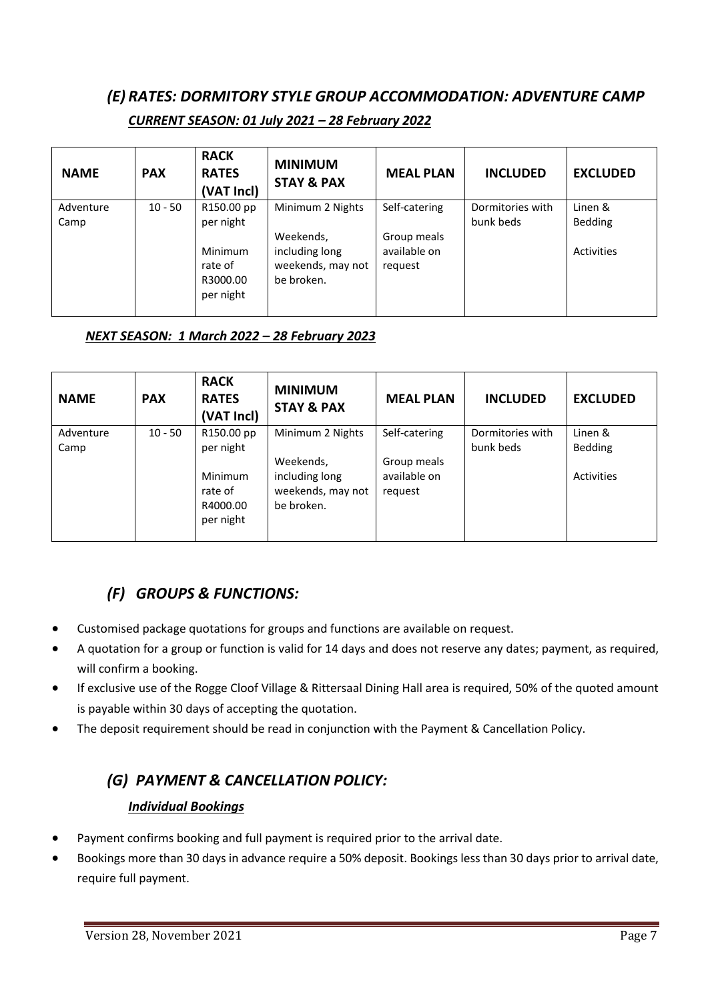# *(E) RATES: DORMITORY STYLE GROUP ACCOMMODATION: ADVENTURE CAMP*

| <b>NAME</b>       | <b>PAX</b> | <b>RACK</b><br><b>RATES</b><br>(VAT Incl)          | <b>MINIMUM</b><br><b>STAY &amp; PAX</b>                        | <b>MEAL PLAN</b>                       | <b>INCLUDED</b>               | <b>EXCLUDED</b>           |
|-------------------|------------|----------------------------------------------------|----------------------------------------------------------------|----------------------------------------|-------------------------------|---------------------------|
| Adventure<br>Camp | $10 - 50$  | R150.00 pp<br>per night                            | Minimum 2 Nights                                               | Self-catering                          | Dormitories with<br>bunk beds | Linen &<br><b>Bedding</b> |
|                   |            | <b>Minimum</b><br>rate of<br>R3000.00<br>per night | Weekends,<br>including long<br>weekends, may not<br>be broken. | Group meals<br>available on<br>request |                               | <b>Activities</b>         |

### *CURRENT SEASON: 01 July 2021 – 28 February 2022*

## *NEXT SEASON: 1 March 2022 – 28 February 2023*

| <b>NAME</b>       | <b>PAX</b> | <b>RACK</b><br><b>RATES</b><br>(VAT Incl)          | <b>MINIMUM</b><br><b>STAY &amp; PAX</b>                        | <b>MEAL PLAN</b>                       | <b>INCLUDED</b>               | <b>EXCLUDED</b>           |
|-------------------|------------|----------------------------------------------------|----------------------------------------------------------------|----------------------------------------|-------------------------------|---------------------------|
| Adventure<br>Camp | $10 - 50$  | R150.00 pp<br>per night                            | Minimum 2 Nights                                               | Self-catering                          | Dormitories with<br>bunk beds | Linen &<br><b>Bedding</b> |
|                   |            | <b>Minimum</b><br>rate of<br>R4000.00<br>per night | Weekends,<br>including long<br>weekends, may not<br>be broken. | Group meals<br>available on<br>request |                               | Activities                |

# *(F) GROUPS & FUNCTIONS:*

- Customised package quotations for groups and functions are available on request.
- A quotation for a group or function is valid for 14 days and does not reserve any dates; payment, as required, will confirm a booking.
- If exclusive use of the Rogge Cloof Village & Rittersaal Dining Hall area is required, 50% of the quoted amount is payable within 30 days of accepting the quotation.
- The deposit requirement should be read in conjunction with the Payment & Cancellation Policy.

# *(G) PAYMENT & CANCELLATION POLICY:*

### *Individual Bookings*

- Payment confirms booking and full payment is required prior to the arrival date.
- Bookings more than 30 days in advance require a 50% deposit. Bookings less than 30 days prior to arrival date, require full payment.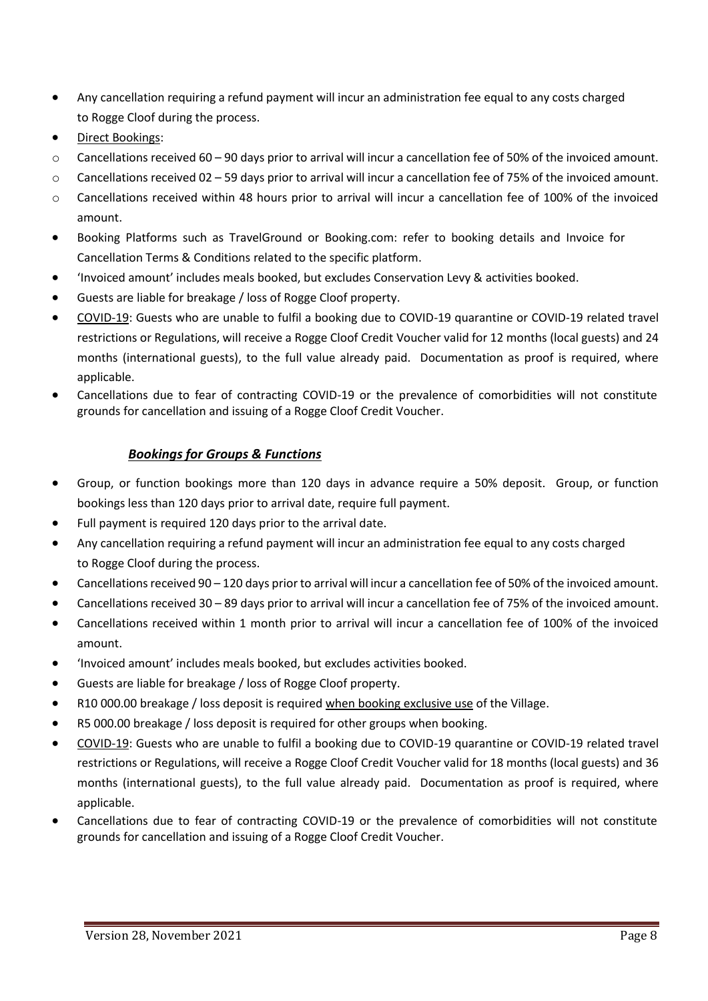- Any cancellation requiring a refund payment will incur an administration fee equal to any costs charged to Rogge Cloof during the process.
- Direct Bookings:
- $\circ$  Cancellations received 60 90 days prior to arrival will incur a cancellation fee of 50% of the invoiced amount.
- $\circ$  Cancellations received 02 59 days prior to arrival will incur a cancellation fee of 75% of the invoiced amount.
- o Cancellations received within 48 hours prior to arrival will incur a cancellation fee of 100% of the invoiced amount.
- Booking Platforms such as TravelGround or Booking.com: refer to booking details and Invoice for Cancellation Terms & Conditions related to the specific platform.
- 'Invoiced amount' includes meals booked, but excludes Conservation Levy & activities booked.
- Guests are liable for breakage / loss of Rogge Cloof property.
- COVID-19: Guests who are unable to fulfil a booking due to COVID-19 quarantine or COVID-19 related travel restrictions or Regulations, will receive a Rogge Cloof Credit Voucher valid for 12 months (local guests) and 24 months (international guests), to the full value already paid. Documentation as proof is required, where applicable.
- Cancellations due to fear of contracting COVID-19 or the prevalence of comorbidities will not constitute grounds for cancellation and issuing of a Rogge Cloof Credit Voucher.

### *Bookings for Groups & Functions*

- Group, or function bookings more than 120 days in advance require a 50% deposit. Group, or function bookings less than 120 days prior to arrival date, require full payment.
- Full payment is required 120 days prior to the arrival date.
- Any cancellation requiring a refund payment will incur an administration fee equal to any costs charged to Rogge Cloof during the process.
- Cancellations received 90 120 days prior to arrival will incur a cancellation fee of 50% of the invoiced amount.
- Cancellations received 30 89 days prior to arrival will incur a cancellation fee of 75% of the invoiced amount.
- Cancellations received within 1 month prior to arrival will incur a cancellation fee of 100% of the invoiced amount.
- 'Invoiced amount' includes meals booked, but excludes activities booked.
- Guests are liable for breakage / loss of Rogge Cloof property.
- R10 000.00 breakage / loss deposit is required when booking exclusive use of the Village.
- R5 000.00 breakage / loss deposit is required for other groups when booking.
- COVID-19: Guests who are unable to fulfil a booking due to COVID-19 quarantine or COVID-19 related travel restrictions or Regulations, will receive a Rogge Cloof Credit Voucher valid for 18 months (local guests) and 36 months (international guests), to the full value already paid. Documentation as proof is required, where applicable.
- Cancellations due to fear of contracting COVID-19 or the prevalence of comorbidities will not constitute grounds for cancellation and issuing of a Rogge Cloof Credit Voucher.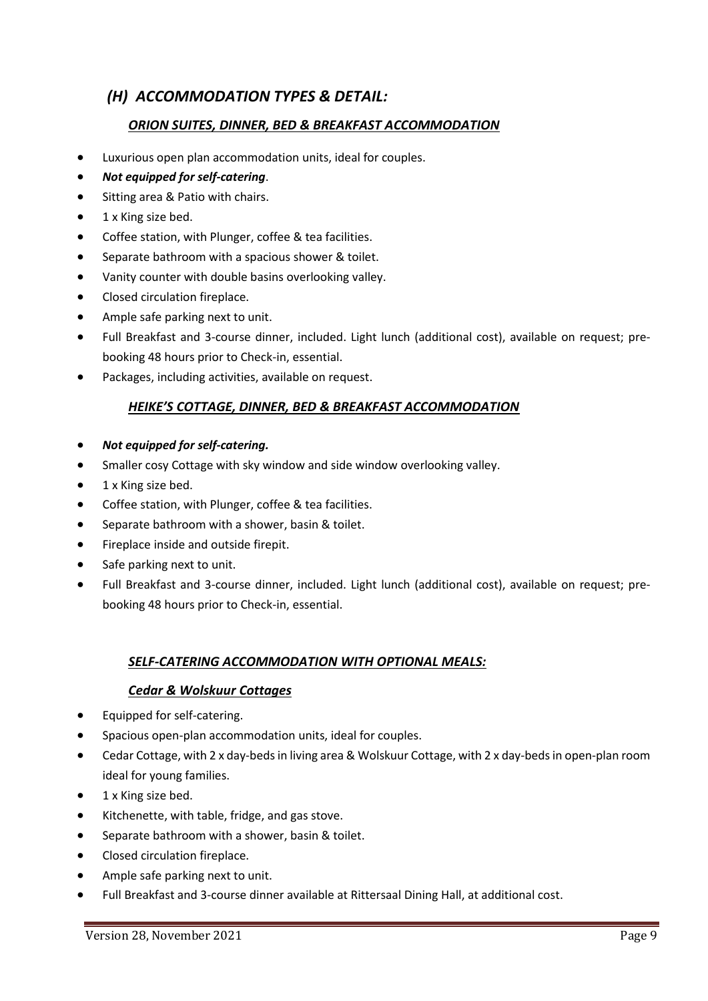## *(H) ACCOMMODATION TYPES & DETAIL:*

#### *ORION SUITES, DINNER, BED & BREAKFAST ACCOMMODATION*

- Luxurious open plan accommodation units, ideal for couples.
- *Not equipped for self-catering*.
- Sitting area & Patio with chairs.
- 1 x King size bed.
- Coffee station, with Plunger, coffee & tea facilities.
- Separate bathroom with a spacious shower & toilet.
- Vanity counter with double basins overlooking valley.
- Closed circulation fireplace.
- Ample safe parking next to unit.
- Full Breakfast and 3-course dinner, included. Light lunch (additional cost), available on request; prebooking 48 hours prior to Check-in, essential.
- Packages, including activities, available on request.

#### *HEIKE'S COTTAGE, DINNER, BED & BREAKFAST ACCOMMODATION*

- *Not equipped for self-catering.*
- Smaller cosy Cottage with sky window and side window overlooking valley.
- 1 x King size bed.
- Coffee station, with Plunger, coffee & tea facilities.
- Separate bathroom with a shower, basin & toilet.
- Fireplace inside and outside firepit.
- Safe parking next to unit.
- Full Breakfast and 3-course dinner, included. Light lunch (additional cost), available on request; prebooking 48 hours prior to Check-in, essential.

#### *SELF-CATERING ACCOMMODATION WITH OPTIONAL MEALS:*

#### *Cedar & Wolskuur Cottages*

- Equipped for self-catering.
- Spacious open-plan accommodation units, ideal for couples.
- Cedar Cottage, with 2 x day-beds in living area & Wolskuur Cottage, with 2 x day-beds in open-plan room ideal for young families.
- 1 x King size bed.
- Kitchenette, with table, fridge, and gas stove.
- Separate bathroom with a shower, basin & toilet.
- Closed circulation fireplace.
- Ample safe parking next to unit.
- Full Breakfast and 3-course dinner available at Rittersaal Dining Hall, at additional cost.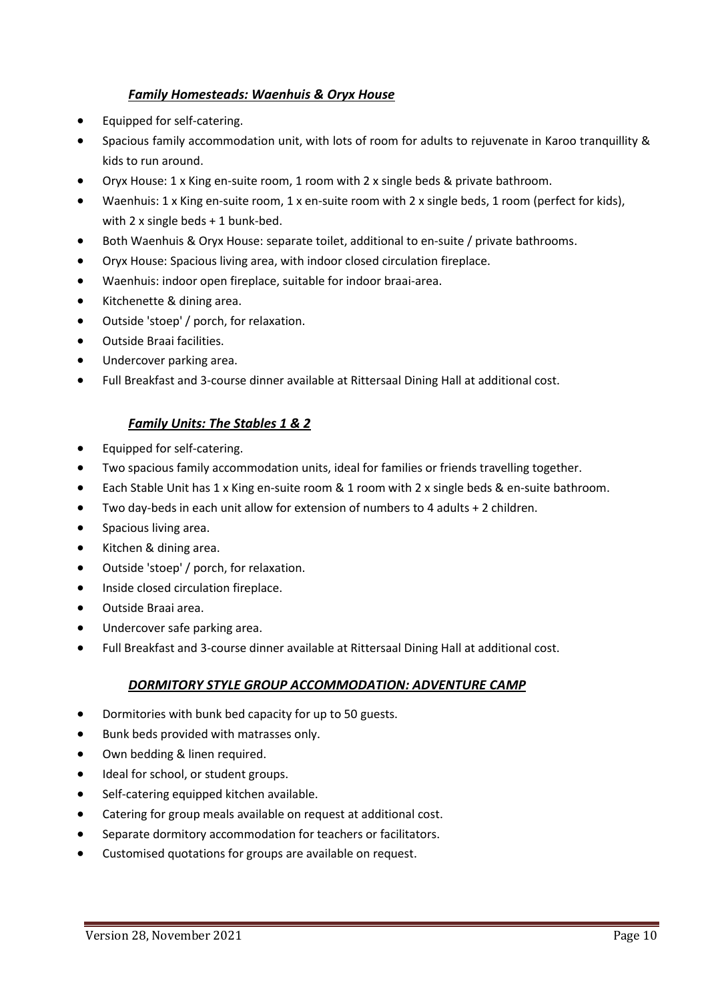### *Family Homesteads: Waenhuis & Oryx House*

- Equipped for self-catering.
- Spacious family accommodation unit, with lots of room for adults to rejuvenate in Karoo tranquillity & kids to run around.
- Oryx House: 1 x King en-suite room, 1 room with 2 x single beds & private bathroom.
- Waenhuis: 1 x King en-suite room, 1 x en-suite room with 2 x single beds, 1 room (perfect for kids), with 2 x single beds + 1 bunk-bed.
- Both Waenhuis & Oryx House: separate toilet, additional to en-suite / private bathrooms.
- Oryx House: Spacious living area, with indoor closed circulation fireplace.
- Waenhuis: indoor open fireplace, suitable for indoor braai-area.
- Kitchenette & dining area.
- Outside 'stoep' / porch, for relaxation.
- Outside Braai facilities.
- Undercover parking area.
- Full Breakfast and 3-course dinner available at Rittersaal Dining Hall at additional cost.

### *Family Units: The Stables 1 & 2*

- Equipped for self-catering.
- Two spacious family accommodation units, ideal for families or friends travelling together.
- Each Stable Unit has 1 x King en-suite room & 1 room with 2 x single beds & en-suite bathroom.
- Two day-beds in each unit allow for extension of numbers to 4 adults + 2 children.
- Spacious living area.
- Kitchen & dining area.
- Outside 'stoep' / porch, for relaxation.
- Inside closed circulation fireplace.
- Outside Braai area.
- Undercover safe parking area.
- Full Breakfast and 3-course dinner available at Rittersaal Dining Hall at additional cost.

#### *DORMITORY STYLE GROUP ACCOMMODATION: ADVENTURE CAMP*

- Dormitories with bunk bed capacity for up to 50 guests.
- Bunk beds provided with matrasses only.
- Own bedding & linen required.
- Ideal for school, or student groups.
- Self-catering equipped kitchen available.
- Catering for group meals available on request at additional cost.
- Separate dormitory accommodation for teachers or facilitators.
- Customised quotations for groups are available on request.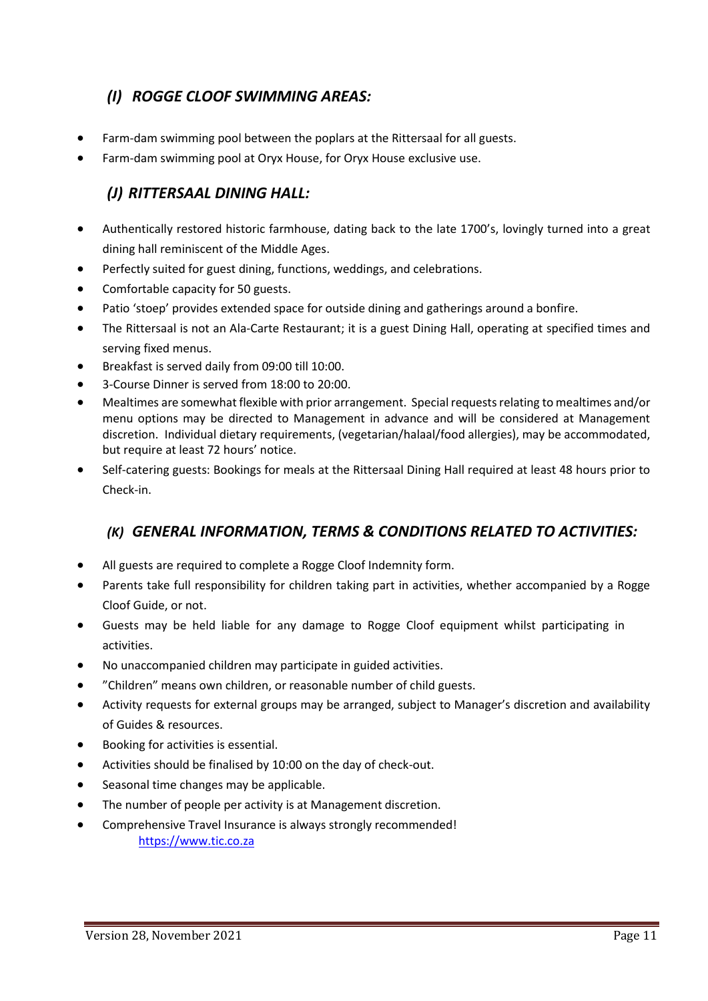# *(I) ROGGE CLOOF SWIMMING AREAS:*

- Farm-dam swimming pool between the poplars at the Rittersaal for all guests.
- Farm-dam swimming pool at Oryx House, for Oryx House exclusive use.

# *(J) RITTERSAAL DINING HALL:*

- Authentically restored historic farmhouse, dating back to the late 1700's, lovingly turned into a great dining hall reminiscent of the Middle Ages.
- Perfectly suited for guest dining, functions, weddings, and celebrations.
- Comfortable capacity for 50 guests.
- Patio 'stoep' provides extended space for outside dining and gatherings around a bonfire.
- The Rittersaal is not an Ala-Carte Restaurant; it is a guest Dining Hall, operating at specified times and serving fixed menus.
- Breakfast is served daily from 09:00 till 10:00.
- 3-Course Dinner is served from 18:00 to 20:00.
- Mealtimes are somewhat flexible with prior arrangement. Special requests relating to mealtimes and/or menu options may be directed to Management in advance and will be considered at Management discretion. Individual dietary requirements, (vegetarian/halaal/food allergies), may be accommodated, but require at least 72 hours' notice.
- Self-catering guests: Bookings for meals at the Rittersaal Dining Hall required at least 48 hours prior to Check-in.

# *(K) GENERAL INFORMATION, TERMS & CONDITIONS RELATED TO ACTIVITIES:*

- All guests are required to complete a Rogge Cloof Indemnity form.
- Parents take full responsibility for children taking part in activities, whether accompanied by a Rogge Cloof Guide, or not.
- Guests may be held liable for any damage to Rogge Cloof equipment whilst participating in activities.
- No unaccompanied children may participate in guided activities.
- "Children" means own children, or reasonable number of child guests.
- Activity requests for external groups may be arranged, subject to Manager's discretion and availability of Guides & resources.
- Booking for activities is essential.
- Activities should be finalised by 10:00 on the day of check-out.
- Seasonal time changes may be applicable.
- The number of people per activity is at Management discretion.
- Comprehensive Travel Insurance is always strongly recommended! [https://www.tic.co.za](https://www.tic.co.za/)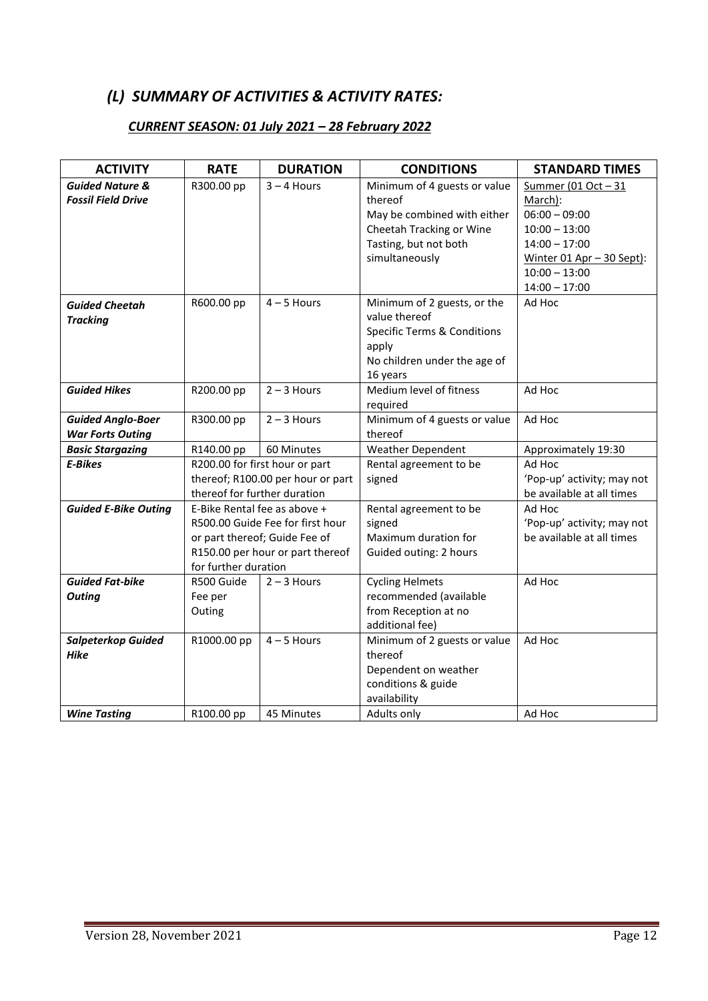## *(L) SUMMARY OF ACTIVITIES & ACTIVITY RATES:*

## *CURRENT SEASON: 01 July 2021 – 28 February 2022*

| <b>ACTIVITY</b>                                         | <b>RATE</b>                                                                                                                                                   | <b>DURATION</b>                                                     | <b>CONDITIONS</b>                                                                                                                             | <b>STANDARD TIMES</b>                                                                                                                                      |
|---------------------------------------------------------|---------------------------------------------------------------------------------------------------------------------------------------------------------------|---------------------------------------------------------------------|-----------------------------------------------------------------------------------------------------------------------------------------------|------------------------------------------------------------------------------------------------------------------------------------------------------------|
| <b>Guided Nature &amp;</b><br><b>Fossil Field Drive</b> | R300.00 pp                                                                                                                                                    | $3 - 4$ Hours                                                       | Minimum of 4 guests or value<br>thereof<br>May be combined with either<br>Cheetah Tracking or Wine<br>Tasting, but not both<br>simultaneously | Summer (01 Oct - 31<br>March):<br>$06:00 - 09:00$<br>$10:00 - 13:00$<br>$14:00 - 17:00$<br>Winter 01 Apr - 30 Sept):<br>$10:00 - 13:00$<br>$14:00 - 17:00$ |
| <b>Guided Cheetah</b><br><b>Tracking</b>                | R600.00 pp                                                                                                                                                    | $4 - 5$ Hours                                                       | Minimum of 2 guests, or the<br>value thereof<br><b>Specific Terms &amp; Conditions</b><br>apply<br>No children under the age of<br>16 years   | Ad Hoc                                                                                                                                                     |
| <b>Guided Hikes</b>                                     | R200.00 pp                                                                                                                                                    | $2 - 3$ Hours                                                       | Medium level of fitness<br>required                                                                                                           | Ad Hoc                                                                                                                                                     |
| <b>Guided Anglo-Boer</b><br><b>War Forts Outing</b>     | R300.00 pp                                                                                                                                                    | $2 - 3$ Hours                                                       | Minimum of 4 guests or value<br>thereof                                                                                                       | Ad Hoc                                                                                                                                                     |
| <b>Basic Stargazing</b>                                 | R140.00 pp                                                                                                                                                    | 60 Minutes                                                          | <b>Weather Dependent</b>                                                                                                                      | Approximately 19:30                                                                                                                                        |
| <b>E-Bikes</b>                                          | thereof for further duration                                                                                                                                  | R200.00 for first hour or part<br>thereof; R100.00 per hour or part | Rental agreement to be<br>signed                                                                                                              | Ad Hoc<br>'Pop-up' activity; may not<br>be available at all times                                                                                          |
| <b>Guided E-Bike Outing</b>                             | E-Bike Rental fee as above +<br>R500.00 Guide Fee for first hour<br>or part thereof; Guide Fee of<br>R150.00 per hour or part thereof<br>for further duration |                                                                     | Rental agreement to be<br>signed<br>Maximum duration for<br>Guided outing: 2 hours                                                            | Ad Hoc<br>'Pop-up' activity; may not<br>be available at all times                                                                                          |
| <b>Guided Fat-bike</b><br><b>Outing</b>                 | R500 Guide<br>Fee per<br>Outing                                                                                                                               | $2 - 3$ Hours                                                       | <b>Cycling Helmets</b><br>recommended (available<br>from Reception at no<br>additional fee)                                                   | Ad Hoc                                                                                                                                                     |
| <b>Salpeterkop Guided</b><br><b>Hike</b>                | R1000.00 pp                                                                                                                                                   | $4 - 5$ Hours<br>45 Minutes                                         | Minimum of 2 guests or value<br>thereof<br>Dependent on weather<br>conditions & guide<br>availability<br>Adults only                          | Ad Hoc<br>Ad Hoc                                                                                                                                           |
| <b>Wine Tasting</b>                                     | R100.00 pp                                                                                                                                                    |                                                                     |                                                                                                                                               |                                                                                                                                                            |